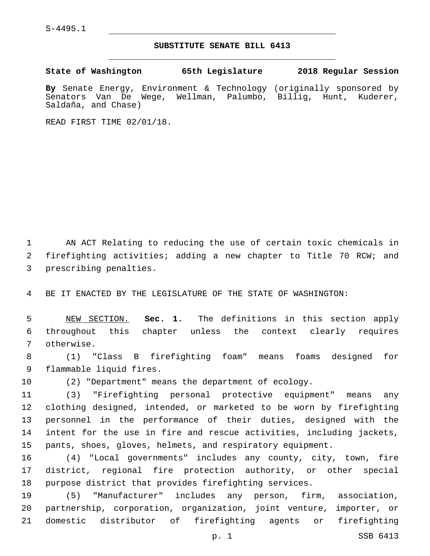S-4495.1

## **SUBSTITUTE SENATE BILL 6413**

**State of Washington 65th Legislature 2018 Regular Session**

**By** Senate Energy, Environment & Technology (originally sponsored by Senators Van De Wege, Wellman, Palumbo, Billig, Hunt, Kuderer, Saldaña, and Chase)

READ FIRST TIME 02/01/18.

 AN ACT Relating to reducing the use of certain toxic chemicals in firefighting activities; adding a new chapter to Title 70 RCW; and 3 prescribing penalties.

BE IT ENACTED BY THE LEGISLATURE OF THE STATE OF WASHINGTON:

 NEW SECTION. **Sec. 1.** The definitions in this section apply throughout this chapter unless the context clearly requires otherwise.

 (1) "Class B firefighting foam" means foams designed for 9 flammable liquid fires.

(2) "Department" means the department of ecology.

 (3) "Firefighting personal protective equipment" means any clothing designed, intended, or marketed to be worn by firefighting personnel in the performance of their duties, designed with the intent for the use in fire and rescue activities, including jackets, pants, shoes, gloves, helmets, and respiratory equipment.

 (4) "Local governments" includes any county, city, town, fire district, regional fire protection authority, or other special purpose district that provides firefighting services.

 (5) "Manufacturer" includes any person, firm, association, partnership, corporation, organization, joint venture, importer, or domestic distributor of firefighting agents or firefighting

p. 1 SSB 6413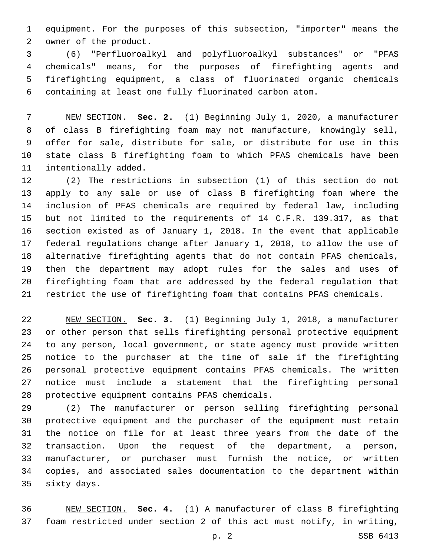equipment. For the purposes of this subsection, "importer" means the 2 owner of the product.

 (6) "Perfluoroalkyl and polyfluoroalkyl substances" or "PFAS chemicals" means, for the purposes of firefighting agents and firefighting equipment, a class of fluorinated organic chemicals containing at least one fully fluorinated carbon atom.

 NEW SECTION. **Sec. 2.** (1) Beginning July 1, 2020, a manufacturer of class B firefighting foam may not manufacture, knowingly sell, offer for sale, distribute for sale, or distribute for use in this state class B firefighting foam to which PFAS chemicals have been intentionally added.

 (2) The restrictions in subsection (1) of this section do not apply to any sale or use of class B firefighting foam where the inclusion of PFAS chemicals are required by federal law, including but not limited to the requirements of 14 C.F.R. 139.317, as that section existed as of January 1, 2018. In the event that applicable federal regulations change after January 1, 2018, to allow the use of alternative firefighting agents that do not contain PFAS chemicals, then the department may adopt rules for the sales and uses of firefighting foam that are addressed by the federal regulation that restrict the use of firefighting foam that contains PFAS chemicals.

 NEW SECTION. **Sec. 3.** (1) Beginning July 1, 2018, a manufacturer or other person that sells firefighting personal protective equipment to any person, local government, or state agency must provide written notice to the purchaser at the time of sale if the firefighting personal protective equipment contains PFAS chemicals. The written notice must include a statement that the firefighting personal protective equipment contains PFAS chemicals.

 (2) The manufacturer or person selling firefighting personal protective equipment and the purchaser of the equipment must retain the notice on file for at least three years from the date of the transaction. Upon the request of the department, a person, manufacturer, or purchaser must furnish the notice, or written copies, and associated sales documentation to the department within 35 sixty days.

 NEW SECTION. **Sec. 4.** (1) A manufacturer of class B firefighting foam restricted under section 2 of this act must notify, in writing,

p. 2 SSB 6413